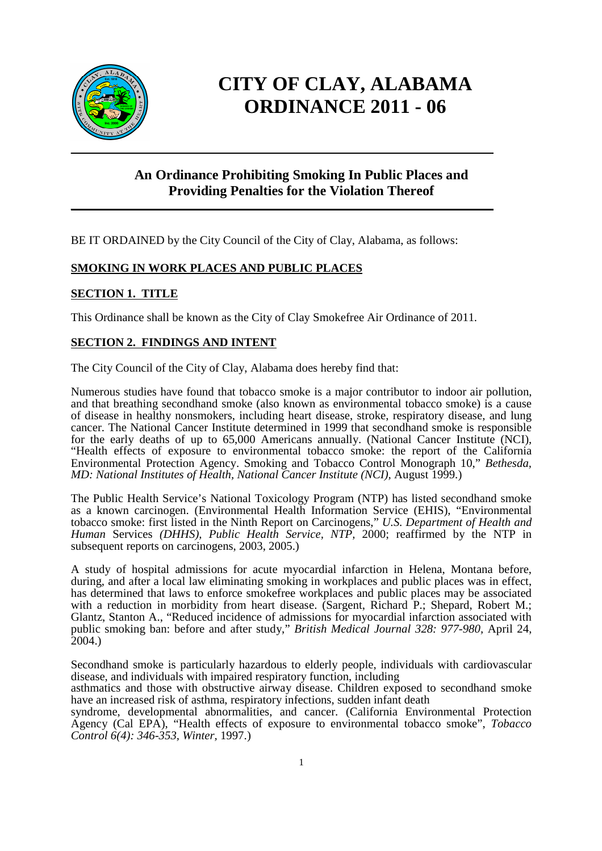

## **CITY OF CLAY, ALABAMA ORDINANCE 2011 - 06**

## **An Ordinance Prohibiting Smoking In Public Places and Providing Penalties for the Violation Thereof**

**\_\_\_\_\_\_\_\_\_\_\_\_\_\_\_\_\_\_\_\_\_\_\_\_\_\_\_\_\_\_\_\_\_\_\_\_\_\_\_\_\_\_\_\_\_\_\_\_\_\_\_\_\_\_\_\_\_\_\_\_\_\_\_\_\_\_\_\_\_\_\_\_\_\_\_\_\_\_** 

BE IT ORDAINED by the City Council of the City of Clay, Alabama, as follows:

#### **SMOKING IN WORK PLACES AND PUBLIC PLACES**

#### **SECTION 1. TITLE**

This Ordinance shall be known as the City of Clay Smokefree Air Ordinance of 2011*.* 

#### **SECTION 2. FINDINGS AND INTENT**

The City Council of the City of Clay, Alabama does hereby find that:

Numerous studies have found that tobacco smoke is a major contributor to indoor air pollution, and that breathing secondhand smoke (also known as environmental tobacco smoke) is a cause of disease in healthy nonsmokers, including heart disease, stroke, respiratory disease, and lung cancer. The National Cancer Institute determined in 1999 that secondhand smoke is responsible for the early deaths of up to 65,000 Americans annually. (National Cancer Institute (NCI), "Health effects of exposure to environmental tobacco smoke: the report of the California Environmental Protection Agency. Smoking and Tobacco Control Monograph 10," *Bethesda, MD: National Institutes of Health, National Cancer Institute (NCI), August 1999.)* 

The Public Health Service's National Toxicology Program (NTP) has listed secondhand smoke as a known carcinogen. (Environmental Health Information Service (EHIS), "Environmental tobacco smoke: first listed in the Ninth Report on Carcinogens," *U.S. Department of Health and Human* Services *(DHHS), Public Health Service, NTP,* 2000; reaffirmed by the NTP in subsequent reports on carcinogens, 2003, 2005.)

A study of hospital admissions for acute myocardial infarction in Helena, Montana before, during, and after a local law eliminating smoking in workplaces and public places was in effect, has determined that laws to enforce smokefree workplaces and public places may be associated with a reduction in morbidity from heart disease. (Sargent, Richard P.; Shepard, Robert M.; Glantz, Stanton A., "Reduced incidence of admissions for myocardial infarction associated with public smoking ban: before and after study," *British Medical Journal 328: 977-980,* April 24,  $2004.$ )

Secondhand smoke is particularly hazardous to elderly people, individuals with cardiovascular disease, and individuals with impaired respiratory function, including

asthmatics and those with obstructive airway disease. Children exposed to secondhand smoke have an increased risk of asthma, respiratory infections, sudden infant death

syndrome, developmental abnormalities, and cancer. (California Environmental Protection Agency (Cal EPA), "Health effects of exposure to environmental tobacco smoke", *Tobacco Control 6(4): 346-353, Winter,* 1997.)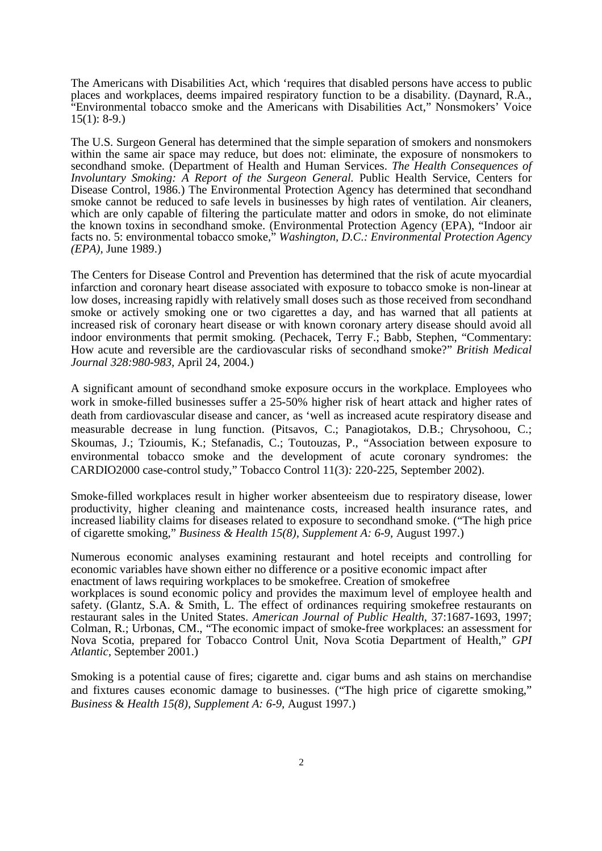The Americans with Disabilities Act, which 'requires that disabled persons have access to public places and workplaces, deems impaired respiratory function to be a disability. (Daynard, R.A., "Environmental tobacco smoke and the Americans with Disabilities Act," Nonsmokers' Voice  $15(1): 8-9.$ 

The U.S. Surgeon General has determined that the simple separation of smokers and nonsmokers within the same air space may reduce, but does not: eliminate, the exposure of nonsmokers to secondhand smoke. (Department of Health and Human Services. *The Health Consequences of Involuntary Smoking: A Report of the Surgeon General. Public Health Service, Centers for* Disease Control, 1986.) The Environmental Protection Agency has determined that secondhand smoke cannot be reduced to safe levels in businesses by high rates of ventilation. Air cleaners, which are only capable of filtering the particulate matter and odors in smoke, do not eliminate the known toxins in secondhand smoke. (Environmental Protection Agency (EPA), "Indoor air facts no. 5: environmental tobacco smoke," *Washington, D.C.: Environmental Protection Agency (EPA),* June 1989.)

The Centers for Disease Control and Prevention has determined that the risk of acute myocardial infarction and coronary heart disease associated with exposure to tobacco smoke is non-linear at low doses, increasing rapidly with relatively small doses such as those received from secondhand smoke or actively smoking one or two cigarettes a day, and has warned that all patients at increased risk of coronary heart disease or with known coronary artery disease should avoid all indoor environments that permit smoking. (Pechacek, Terry F.; Babb, Stephen, "Commentary: How acute and reversible are the cardiovascular risks of secondhand smoke?" *British Medical Journal 328:980-983,* April 24, 2004.)

A significant amount of secondhand smoke exposure occurs in the workplace. Employees who work in smoke-filled businesses suffer a 25-50% higher risk of heart attack and higher rates of death from cardiovascular disease and cancer, as 'well as increased acute respiratory disease and measurable decrease in lung function. (Pitsavos, C.; Panagiotakos, D.B.; Chrysohoou, C.; Skoumas, J.; Tzioumis, K.; Stefanadis, C.; Toutouzas, P., "Association between exposure to environmental tobacco smoke and the development of acute coronary syndromes: the CARDIO2000 case-control study," Tobacco Control 11(3)*:* 220-225, September 2002).

Smoke-filled workplaces result in higher worker absenteeism due to respiratory disease, lower productivity, higher cleaning and maintenance costs, increased health insurance rates, and increased liability claims for diseases related to exposure to secondhand smoke. ("The high price of cigarette smoking," *Business & Health 15(8), Supplement A: 6-9,* August 1997.)

Numerous economic analyses examining restaurant and hotel receipts and controlling for economic variables have shown either no difference or a positive economic impact after enactment of laws requiring workplaces to be smokefree. Creation of smokefree

workplaces is sound economic policy and provides the maximum level of employee health and safety. (Glantz, S.A. & Smith, L. The effect of ordinances requiring smokefree restaurants on restaurant sales in the United States. *American Journal of Public Health,* 37:1687-1693, 1997; Colman, R.; Urbonas, CM., "The economic impact of smoke-free workplaces: an assessment for Nova Scotia, prepared for Tobacco Control Unit, Nova Scotia Department of Health," *GPI Atlantic,* September 2001.)

Smoking is a potential cause of fires; cigarette and. cigar bums and ash stains on merchandise and fixtures causes economic damage to businesses. ("The high price of cigarette smoking," *Business* & *Health 15(8), Supplement A: 6-9,* August 1997.)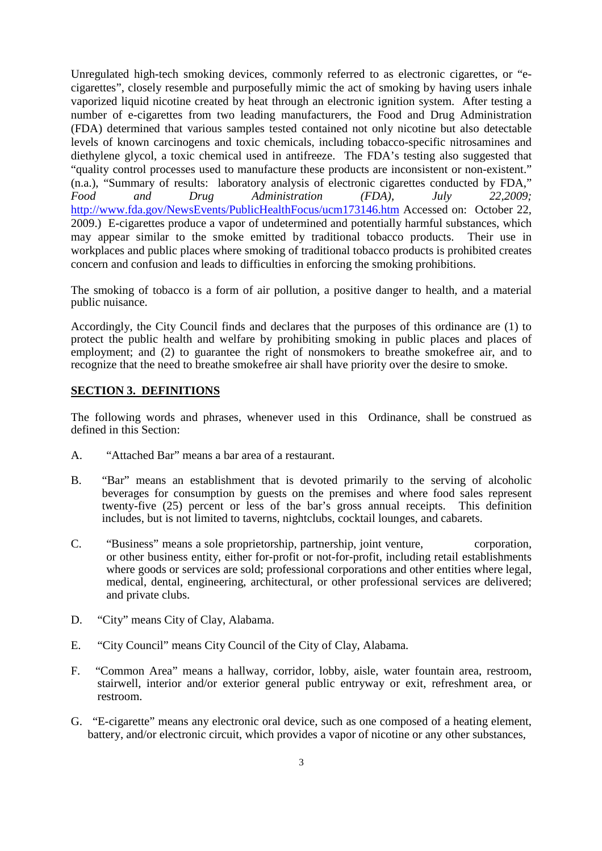Unregulated high-tech smoking devices, commonly referred to as electronic cigarettes, or "ecigarettes", closely resemble and purposefully mimic the act of smoking by having users inhale vaporized liquid nicotine created by heat through an electronic ignition system. After testing a number of e-cigarettes from two leading manufacturers, the Food and Drug Administration (FDA) determined that various samples tested contained not only nicotine but also detectable levels of known carcinogens and toxic chemicals, including tobacco-specific nitrosamines and diethylene glycol, a toxic chemical used in antifreeze. The FDA's testing also suggested that "quality control processes used to manufacture these products are inconsistent or non-existent." (n.a.), "Summary of results: laboratory analysis of electronic cigarettes conducted by FDA," *Food and Drug Administration (FDA), July 22,2009;* http://www.fda.gov/NewsEvents/PublicHealthFocus/ucm173146.htm Accessed on: October 22, 2009.) E-cigarettes produce a vapor of undetermined and potentially harmful substances, which may appear similar to the smoke emitted by traditional tobacco products. Their use in workplaces and public places where smoking of traditional tobacco products is prohibited creates concern and confusion and leads to difficulties in enforcing the smoking prohibitions.

The smoking of tobacco is a form of air pollution, a positive danger to health, and a material public nuisance.

Accordingly, the City Council finds and declares that the purposes of this ordinance are (1) to protect the public health and welfare by prohibiting smoking in public places and places of employment; and (2) to guarantee the right of nonsmokers to breathe smokefree air, and to recognize that the need to breathe smokefree air shall have priority over the desire to smoke.

#### **SECTION 3. DEFINITIONS**

The following words and phrases, whenever used in this Ordinance, shall be construed as defined in this Section:

- A. "Attached Bar" means a bar area of a restaurant.
- B. "Bar" means an establishment that is devoted primarily to the serving of alcoholic beverages for consumption by guests on the premises and where food sales represent twenty-five (25) percent or less of the bar's gross annual receipts. This definition includes, but is not limited to taverns, nightclubs, cocktail lounges, and cabarets.
- C. "Business" means a sole proprietorship, partnership, joint venture, corporation, or other business entity, either for-profit or not-for-profit, including retail establishments where goods or services are sold; professional corporations and other entities where legal, medical, dental, engineering, architectural, or other professional services are delivered; and private clubs.
- D. "City" means City of Clay, Alabama.
- E. "City Council" means City Council of the City of Clay, Alabama.
- F. "Common Area" means a hallway, corridor, lobby, aisle, water fountain area, restroom, stairwell, interior and/or exterior general public entryway or exit, refreshment area, or restroom.
- G. "E-cigarette" means any electronic oral device, such as one composed of a heating element, battery, and/or electronic circuit, which provides a vapor of nicotine or any other substances,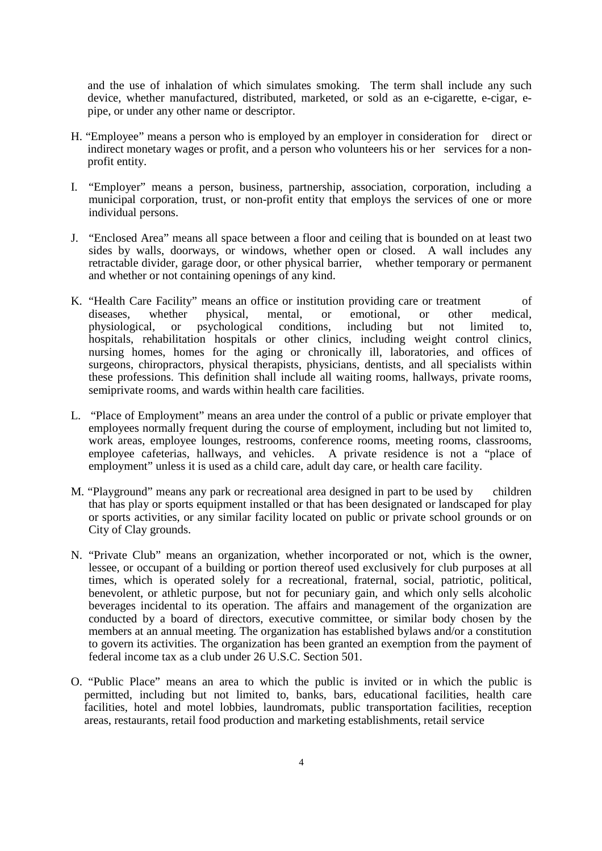and the use of inhalation of which simulates smoking. The term shall include any such device, whether manufactured, distributed, marketed, or sold as an e-cigarette, e-cigar, epipe, or under any other name or descriptor.

- H. "Employee" means a person who is employed by an employer in consideration for direct or indirect monetary wages or profit, and a person who volunteers his or her services for a nonprofit entity.
- I. "Employer" means a person, business, partnership, association, corporation, including a municipal corporation, trust, or non-profit entity that employs the services of one or more individual persons.
- J. "Enclosed Area" means all space between a floor and ceiling that is bounded on at least two sides by walls, doorways, or windows, whether open or closed. A wall includes any retractable divider, garage door, or other physical barrier, whether temporary or permanent and whether or not containing openings of any kind.
- K. "Health Care Facility" means an office or institution providing care or treatment of diseases, whether physical, mental, or emotional, or other medical, physiological, or psychological conditions, including but not limited to, hospitals, rehabilitation hospitals or other clinics, including weight control clinics, nursing homes, homes for the aging or chronically ill, laboratories, and offices of surgeons, chiropractors, physical therapists, physicians, dentists, and all specialists within these professions. This definition shall include all waiting rooms, hallways, private rooms, semiprivate rooms, and wards within health care facilities.
- L. "Place of Employment" means an area under the control of a public or private employer that employees normally frequent during the course of employment, including but not limited to, work areas, employee lounges, restrooms, conference rooms, meeting rooms, classrooms, employee cafeterias, hallways, and vehicles. A private residence is not a "place of employment" unless it is used as a child care, adult day care, or health care facility.
- M. "Playground" means any park or recreational area designed in part to be used by children that has play or sports equipment installed or that has been designated or landscaped for play or sports activities, or any similar facility located on public or private school grounds or on City of Clay grounds.
- N. "Private Club" means an organization, whether incorporated or not, which is the owner, lessee, or occupant of a building or portion thereof used exclusively for club purposes at all times, which is operated solely for a recreational, fraternal, social, patriotic, political, benevolent, or athletic purpose, but not for pecuniary gain, and which only sells alcoholic beverages incidental to its operation. The affairs and management of the organization are conducted by a board of directors, executive committee, or similar body chosen by the members at an annual meeting. The organization has established bylaws and/or a constitution to govern its activities. The organization has been granted an exemption from the payment of federal income tax as a club under 26 U.S.C. Section 501.
- O. "Public Place" means an area to which the public is invited or in which the public is permitted, including but not limited to, banks, bars, educational facilities, health care facilities, hotel and motel lobbies, laundromats, public transportation facilities, reception areas, restaurants, retail food production and marketing establishments, retail service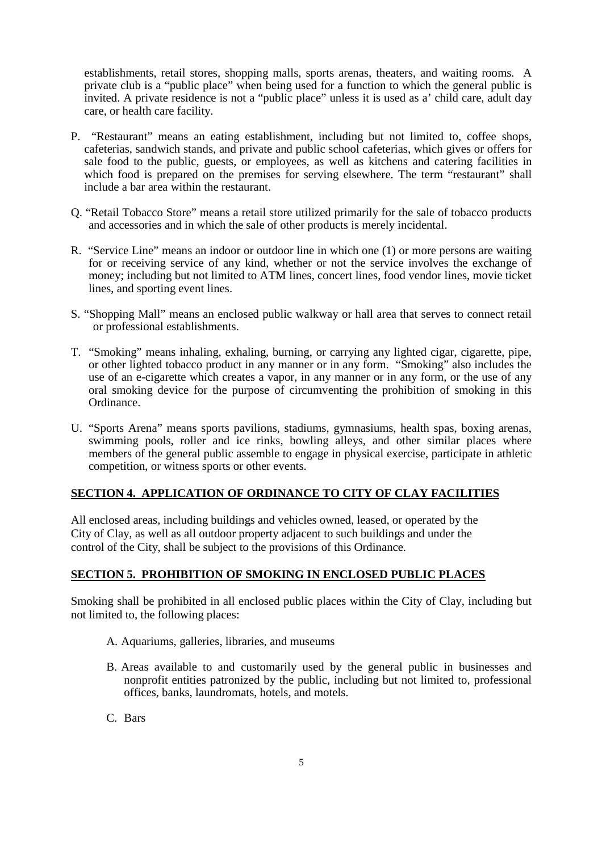establishments, retail stores, shopping malls, sports arenas, theaters, and waiting rooms. A private club is a "public place" when being used for a function to which the general public is invited. A private residence is not a "public place" unless it is used as a' child care, adult day care, or health care facility.

- P. "Restaurant" means an eating establishment, including but not limited to, coffee shops, cafeterias, sandwich stands, and private and public school cafeterias, which gives or offers for sale food to the public, guests, or employees, as well as kitchens and catering facilities in which food is prepared on the premises for serving elsewhere. The term "restaurant" shall include a bar area within the restaurant.
- Q. "Retail Tobacco Store" means a retail store utilized primarily for the sale of tobacco products and accessories and in which the sale of other products is merely incidental.
- R. "Service Line" means an indoor or outdoor line in which one (1) or more persons are waiting for or receiving service of any kind, whether or not the service involves the exchange of money; including but not limited to ATM lines, concert lines, food vendor lines, movie ticket lines, and sporting event lines.
- S. "Shopping Mall" means an enclosed public walkway or hall area that serves to connect retail or professional establishments.
- T. "Smoking" means inhaling, exhaling, burning, or carrying any lighted cigar, cigarette, pipe, or other lighted tobacco product in any manner or in any form. "Smoking" also includes the use of an e-cigarette which creates a vapor, in any manner or in any form, or the use of any oral smoking device for the purpose of circumventing the prohibition of smoking in this Ordinance.
- U. "Sports Arena" means sports pavilions, stadiums, gymnasiums, health spas, boxing arenas, swimming pools, roller and ice rinks, bowling alleys, and other similar places where members of the general public assemble to engage in physical exercise, participate in athletic competition, or witness sports or other events.

#### **SECTION 4. APPLICATION OF ORDINANCE TO CITY OF CLAY FACILITIES**

All enclosed areas, including buildings and vehicles owned, leased, or operated by the City of Clay, as well as all outdoor property adjacent to such buildings and under the control of the City, shall be subject to the provisions of this Ordinance.

#### **SECTION 5. PROHIBITION OF SMOKING IN ENCLOSED PUBLIC PLACES**

Smoking shall be prohibited in all enclosed public places within the City of Clay, including but not limited to, the following places:

- A. Aquariums, galleries, libraries, and museums
- B. Areas available to and customarily used by the general public in businesses and nonprofit entities patronized by the public, including but not limited to, professional offices, banks, laundromats, hotels, and motels.
- C. Bars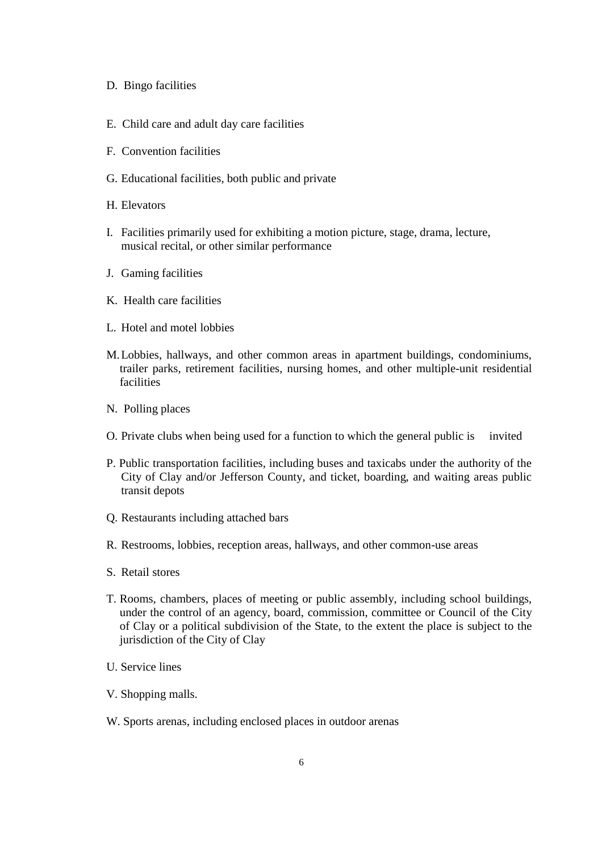- D. Bingo facilities
- E. Child care and adult day care facilities
- F. Convention facilities
- G. Educational facilities, both public and private
- H. Elevators
- I. Facilities primarily used for exhibiting a motion picture, stage, drama, lecture, musical recital, or other similar performance
- J. Gaming facilities
- K. Health care facilities
- L. Hotel and motel lobbies
- M. Lobbies, hallways, and other common areas in apartment buildings, condominiums, trailer parks, retirement facilities, nursing homes, and other multiple-unit residential facilities
- N. Polling places
- O. Private clubs when being used for a function to which the general public is invited
- P. Public transportation facilities, including buses and taxicabs under the authority of the City of Clay and/or Jefferson County, and ticket, boarding, and waiting areas public transit depots
- Q. Restaurants including attached bars
- R. Restrooms, lobbies, reception areas, hallways, and other common-use areas
- S. Retail stores
- T. Rooms, chambers, places of meeting or public assembly, including school buildings, under the control of an agency, board, commission, committee or Council of the City of Clay or a political subdivision of the State, to the extent the place is subject to the jurisdiction of the City of Clay
- U. Service lines
- V. Shopping malls.
- W. Sports arenas, including enclosed places in outdoor arenas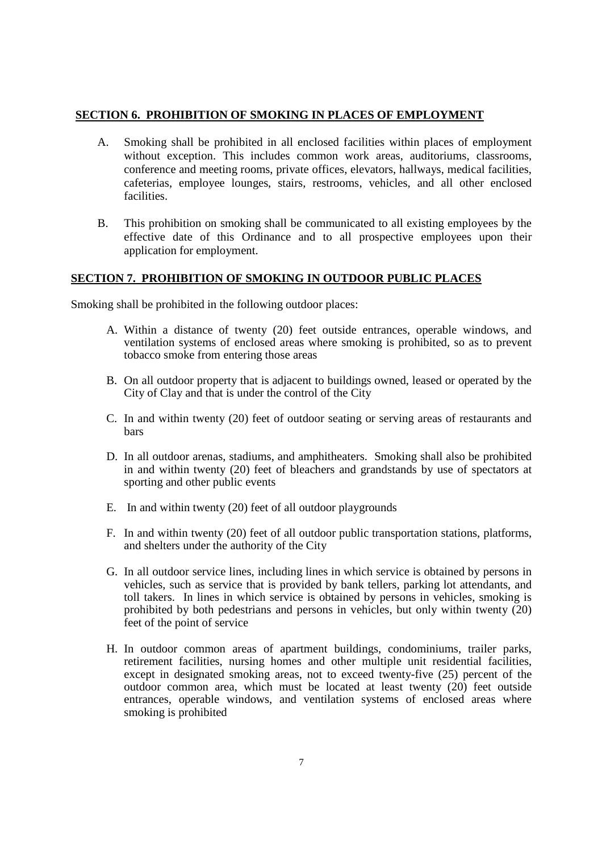#### **SECTION 6. PROHIBITION OF SMOKING IN PLACES OF EMPLOYMENT**

- A. Smoking shall be prohibited in all enclosed facilities within places of employment without exception. This includes common work areas, auditoriums, classrooms, conference and meeting rooms, private offices, elevators, hallways, medical facilities, cafeterias, employee lounges, stairs, restrooms, vehicles, and all other enclosed facilities.
- B. This prohibition on smoking shall be communicated to all existing employees by the effective date of this Ordinance and to all prospective employees upon their application for employment.

#### **SECTION 7. PROHIBITION OF SMOKING IN OUTDOOR PUBLIC PLACES**

Smoking shall be prohibited in the following outdoor places:

- A. Within a distance of twenty (20) feet outside entrances, operable windows, and ventilation systems of enclosed areas where smoking is prohibited, so as to prevent tobacco smoke from entering those areas
- B. On all outdoor property that is adjacent to buildings owned, leased or operated by the City of Clay and that is under the control of the City
- C. In and within twenty (20) feet of outdoor seating or serving areas of restaurants and bars
- D. In all outdoor arenas, stadiums, and amphitheaters. Smoking shall also be prohibited in and within twenty (20) feet of bleachers and grandstands by use of spectators at sporting and other public events
- E. In and within twenty (20) feet of all outdoor playgrounds
- F. In and within twenty (20) feet of all outdoor public transportation stations, platforms, and shelters under the authority of the City
- G. In all outdoor service lines, including lines in which service is obtained by persons in vehicles, such as service that is provided by bank tellers, parking lot attendants, and toll takers. In lines in which service is obtained by persons in vehicles, smoking is prohibited by both pedestrians and persons in vehicles, but only within twenty (20) feet of the point of service
- H. In outdoor common areas of apartment buildings, condominiums, trailer parks, retirement facilities, nursing homes and other multiple unit residential facilities, except in designated smoking areas, not to exceed twenty-five (25) percent of the outdoor common area, which must be located at least twenty (20) feet outside entrances, operable windows, and ventilation systems of enclosed areas where smoking is prohibited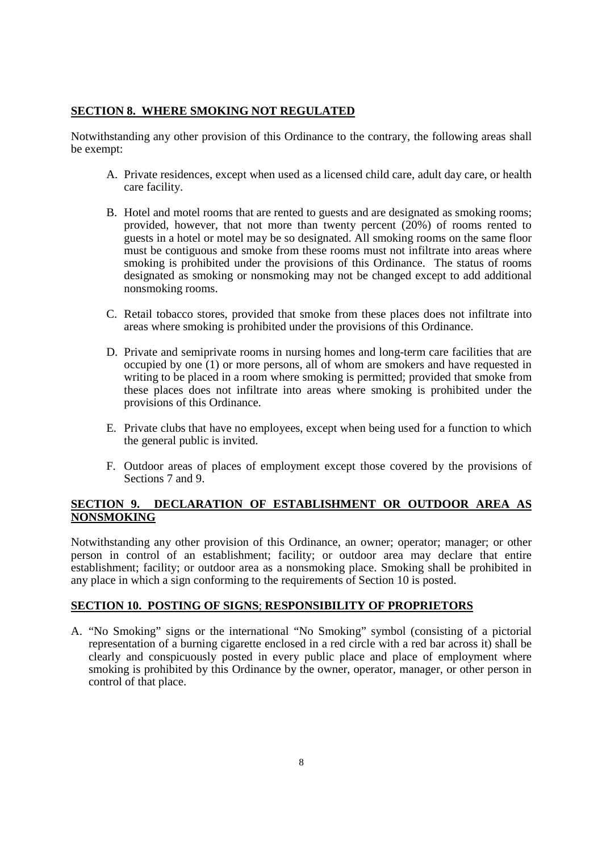#### **SECTION 8. WHERE SMOKING NOT REGULATED**

Notwithstanding any other provision of this Ordinance to the contrary, the following areas shall be exempt:

- A. Private residences, except when used as a licensed child care, adult day care, or health care facility.
- B. Hotel and motel rooms that are rented to guests and are designated as smoking rooms; provided, however, that not more than twenty percent (20%) of rooms rented to guests in a hotel or motel may be so designated. All smoking rooms on the same floor must be contiguous and smoke from these rooms must not infiltrate into areas where smoking is prohibited under the provisions of this Ordinance. The status of rooms designated as smoking or nonsmoking may not be changed except to add additional nonsmoking rooms.
- C. Retail tobacco stores, provided that smoke from these places does not infiltrate into areas where smoking is prohibited under the provisions of this Ordinance.
- D. Private and semiprivate rooms in nursing homes and long-term care facilities that are occupied by one (1) or more persons, all of whom are smokers and have requested in writing to be placed in a room where smoking is permitted; provided that smoke from these places does not infiltrate into areas where smoking is prohibited under the provisions of this Ordinance.
- E. Private clubs that have no employees, except when being used for a function to which the general public is invited.
- F. Outdoor areas of places of employment except those covered by the provisions of Sections 7 and 9.

#### **SECTION 9. DECLARATION OF ESTABLISHMENT OR OUTDOOR AREA AS NONSMOKING**

Notwithstanding any other provision of this Ordinance, an owner; operator; manager; or other person in control of an establishment; facility; or outdoor area may declare that entire establishment; facility; or outdoor area as a nonsmoking place. Smoking shall be prohibited in any place in which a sign conforming to the requirements of Section 10 is posted.

#### **SECTION 10. POSTING OF SIGNS**; **RESPONSIBILITY OF PROPRIETORS**

A. "No Smoking" signs or the international "No Smoking" symbol (consisting of a pictorial representation of a burning cigarette enclosed in a red circle with a red bar across it) shall be clearly and conspicuously posted in every public place and place of employment where smoking is prohibited by this Ordinance by the owner, operator, manager, or other person in control of that place.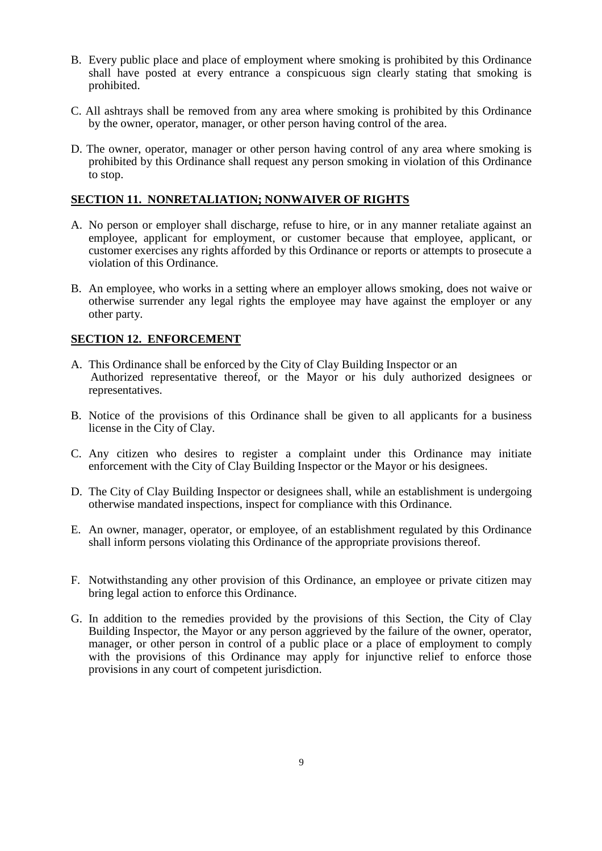- B. Every public place and place of employment where smoking is prohibited by this Ordinance shall have posted at every entrance a conspicuous sign clearly stating that smoking is prohibited.
- C. All ashtrays shall be removed from any area where smoking is prohibited by this Ordinance by the owner, operator, manager, or other person having control of the area.
- D. The owner, operator, manager or other person having control of any area where smoking is prohibited by this Ordinance shall request any person smoking in violation of this Ordinance to stop.

#### **SECTION 11. NONRETALIATION; NONWAIVER OF RIGHTS**

- A. No person or employer shall discharge, refuse to hire, or in any manner retaliate against an employee, applicant for employment, or customer because that employee, applicant, or customer exercises any rights afforded by this Ordinance or reports or attempts to prosecute a violation of this Ordinance.
- B. An employee, who works in a setting where an employer allows smoking, does not waive or otherwise surrender any legal rights the employee may have against the employer or any other party.

#### **SECTION 12. ENFORCEMENT**

- A. This Ordinance shall be enforced by the City of Clay Building Inspector or an Authorized representative thereof, or the Mayor or his duly authorized designees or representatives.
- B. Notice of the provisions of this Ordinance shall be given to all applicants for a business license in the City of Clay.
- C. Any citizen who desires to register a complaint under this Ordinance may initiate enforcement with the City of Clay Building Inspector or the Mayor or his designees.
- D. The City of Clay Building Inspector or designees shall, while an establishment is undergoing otherwise mandated inspections, inspect for compliance with this Ordinance.
- E. An owner, manager, operator, or employee, of an establishment regulated by this Ordinance shall inform persons violating this Ordinance of the appropriate provisions thereof.
- F. Notwithstanding any other provision of this Ordinance, an employee or private citizen may bring legal action to enforce this Ordinance.
- G. In addition to the remedies provided by the provisions of this Section, the City of Clay Building Inspector, the Mayor or any person aggrieved by the failure of the owner, operator, manager, or other person in control of a public place or a place of employment to comply with the provisions of this Ordinance may apply for injunctive relief to enforce those provisions in any court of competent jurisdiction.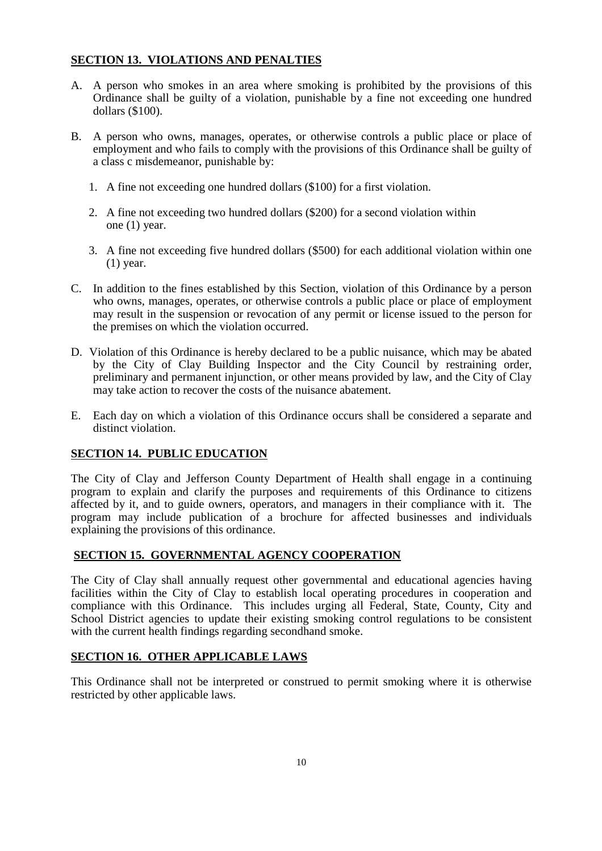#### **SECTION 13. VIOLATIONS AND PENALTIES**

- A. A person who smokes in an area where smoking is prohibited by the provisions of this Ordinance shall be guilty of a violation, punishable by a fine not exceeding one hundred dollars (\$100).
- B. A person who owns, manages, operates, or otherwise controls a public place or place of employment and who fails to comply with the provisions of this Ordinance shall be guilty of a class c misdemeanor, punishable by:
	- 1. A fine not exceeding one hundred dollars (\$100) for a first violation.
	- 2. A fine not exceeding two hundred dollars (\$200) for a second violation within one (1) year.
	- 3. A fine not exceeding five hundred dollars (\$500) for each additional violation within one (1) year.
- C. In addition to the fines established by this Section, violation of this Ordinance by a person who owns, manages, operates, or otherwise controls a public place or place of employment may result in the suspension or revocation of any permit or license issued to the person for the premises on which the violation occurred.
- D. Violation of this Ordinance is hereby declared to be a public nuisance, which may be abated by the City of Clay Building Inspector and the City Council by restraining order, preliminary and permanent injunction, or other means provided by law, and the City of Clay may take action to recover the costs of the nuisance abatement.
- E. Each day on which a violation of this Ordinance occurs shall be considered a separate and distinct violation.

#### **SECTION 14. PUBLIC EDUCATION**

The City of Clay and Jefferson County Department of Health shall engage in a continuing program to explain and clarify the purposes and requirements of this Ordinance to citizens affected by it, and to guide owners, operators, and managers in their compliance with it. The program may include publication of a brochure for affected businesses and individuals explaining the provisions of this ordinance.

#### **SECTION 15. GOVERNMENTAL AGENCY COOPERATION**

The City of Clay shall annually request other governmental and educational agencies having facilities within the City of Clay to establish local operating procedures in cooperation and compliance with this Ordinance. This includes urging all Federal, State, County, City and School District agencies to update their existing smoking control regulations to be consistent with the current health findings regarding secondhand smoke.

#### **SECTION 16. OTHER APPLICABLE LAWS**

This Ordinance shall not be interpreted or construed to permit smoking where it is otherwise restricted by other applicable laws.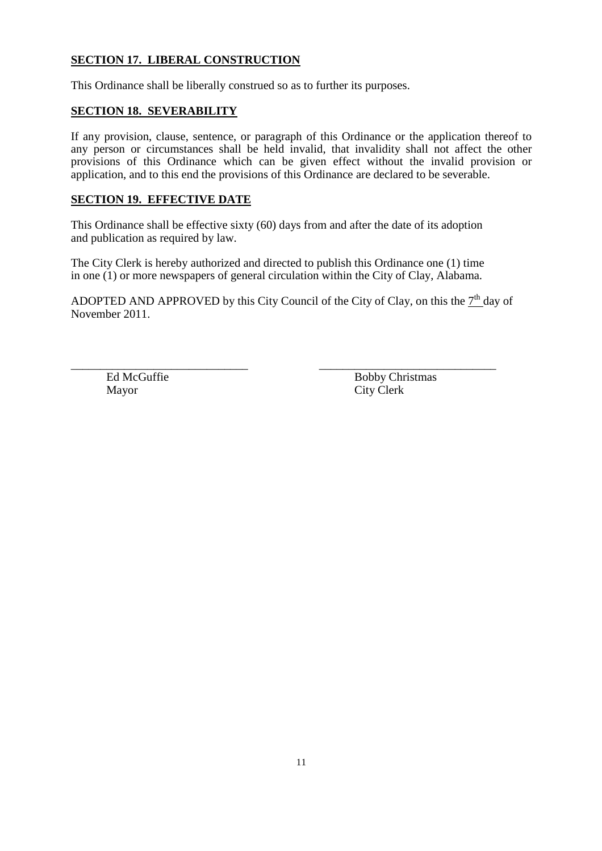#### **SECTION 17. LIBERAL CONSTRUCTION**

This Ordinance shall be liberally construed so as to further its purposes.

#### **SECTION 18. SEVERABILITY**

If any provision, clause, sentence, or paragraph of this Ordinance or the application thereof to any person or circumstances shall be held invalid, that invalidity shall not affect the other provisions of this Ordinance which can be given effect without the invalid provision or application, and to this end the provisions of this Ordinance are declared to be severable.

#### **SECTION 19. EFFECTIVE DATE**

This Ordinance shall be effective sixty (60) days from and after the date of its adoption and publication as required by law.

The City Clerk is hereby authorized and directed to publish this Ordinance one (1) time in one (1) or more newspapers of general circulation within the City of Clay, Alabama.

ADOPTED AND APPROVED by this City Council of the City of Clay, on this the  $7<sup>th</sup>$  day of November 2011.

\_\_\_\_\_\_\_\_\_\_\_\_\_\_\_\_\_\_\_\_\_\_\_\_\_\_\_\_\_\_ \_\_\_\_\_\_\_\_\_\_\_\_\_\_\_\_\_\_\_\_\_\_\_\_\_\_\_\_\_\_ Mayor City Clerk

Ed McGuffie Bobby Christmas